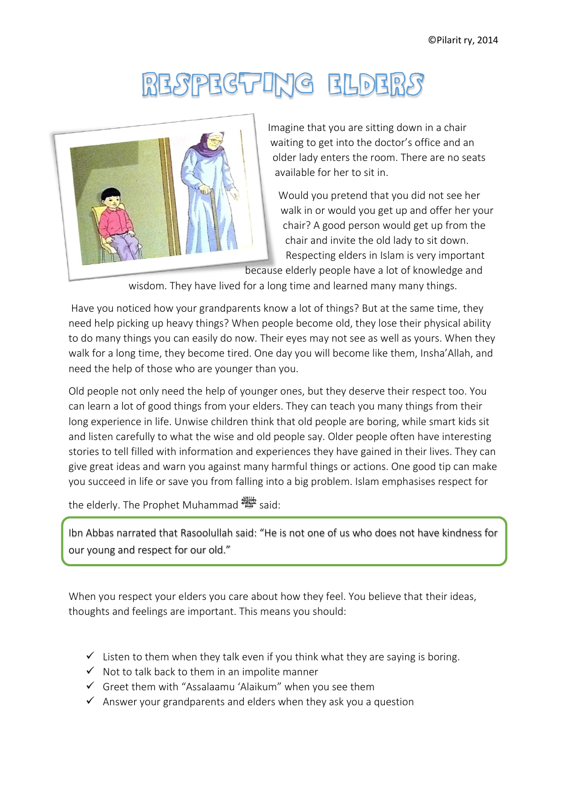## RESPECTING ELDERS



Imagine that you are sitting down in a chair waiting to get into the doctor's office and an older lady enters the room. There are no seats available for her to sit in.

Would you pretend that you did not see her walk in or would you get up and offer her your chair? A good person would get up from the chair and invite the old lady to sit down. Respecting elders in Islam is very important

wisdom. They have lived for a long time and learned many many things.

Have you noticed how your grandparents know a lot of things? But at the same time, they need help picking up heavy things? When people become old, they lose their physical ability to do many things you can easily do now. Their eyes may not see as well as yours. When they walk for a long time, they become tired. One day you will become like them, Insha'Allah, and need the help of those who are younger than you.

Old people not only need the help of younger ones, but they deserve their respect too. You can learn a lot of good things from your elders. They can teach you many things from their long experience in life. Unwise children think that old people are boring, while smart kids sit and listen carefully to what the wise and old people say. Older people often have interesting stories to tell filled with information and experiences they have gained in their lives. They can give great ideas and warn you against many harmful things or actions. One good tip can make you succeed in life or save you from falling into a big problem. Islam emphasises respect for

the elderly. The Prophet Muhammad  $\frac{1}{2}$  said:

Ibn Abbas narrated that Rasoolullah said: "He is not one of us who does not have kindness for our young and respect for our old."

When you respect your elders you care about how they feel. You believe that their ideas, thoughts and feelings are important. This means you should:

- $\checkmark$  Listen to them when they talk even if you think what they are saying is boring.
- $\checkmark$  Not to talk back to them in an impolite manner
- $\checkmark$  Greet them with "Assalaamu 'Alaikum" when you see them
- $\checkmark$  Answer your grandparents and elders when they ask you a question